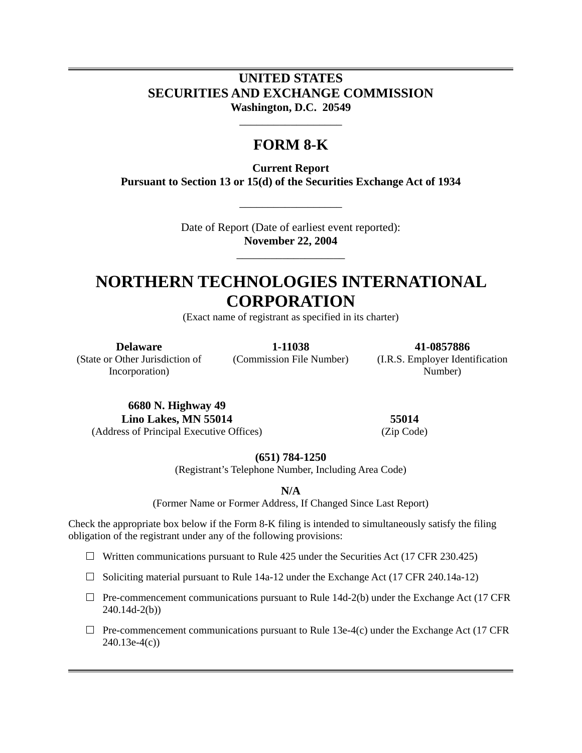### **UNITED STATES SECURITIES AND EXCHANGE COMMISSION Washington, D.C. 20549**

## **FORM 8-K**

\_\_\_\_\_\_\_\_\_\_\_\_\_\_\_\_\_\_

**Current Report Pursuant to Section 13 or 15(d) of the Securities Exchange Act of 1934** 

> Date of Report (Date of earliest event reported): **November 22, 2004**

> > \_\_\_\_\_\_\_\_\_\_\_\_\_\_\_\_\_\_\_

\_\_\_\_\_\_\_\_\_\_\_\_\_\_\_\_\_\_

# **NORTHERN TECHNOLOGIES INTERNATIONAL CORPORATION**

(Exact name of registrant as specified in its charter)

(State or Other Jurisdiction of

Incorporation)

**Delaware 1-11038 41-0857886** 

(Commission File Number) (I.R.S. Employer Identification Number)

**6680 N. Highway 49 Lino Lakes, MN 55014 55014**  (Address of Principal Executive Offices) (Zip Code)

**(651) 784-1250** 

(Registrant's Telephone Number, Including Area Code)

**N/A** 

(Former Name or Former Address, If Changed Since Last Report)

Check the appropriate box below if the Form 8-K filing is intended to simultaneously satisfy the filing obligation of the registrant under any of the following provisions:

 $\Box$  Written communications pursuant to Rule 425 under the Securities Act (17 CFR 230.425)

- $\Box$  Soliciting material pursuant to Rule 14a-12 under the Exchange Act (17 CFR 240.14a-12)
- $\Box$  Pre-commencement communications pursuant to Rule 14d-2(b) under the Exchange Act (17 CFR 240.14d-2(b))
- $\Box$  Pre-commencement communications pursuant to Rule 13e-4(c) under the Exchange Act (17 CFR 240.13e-4(c))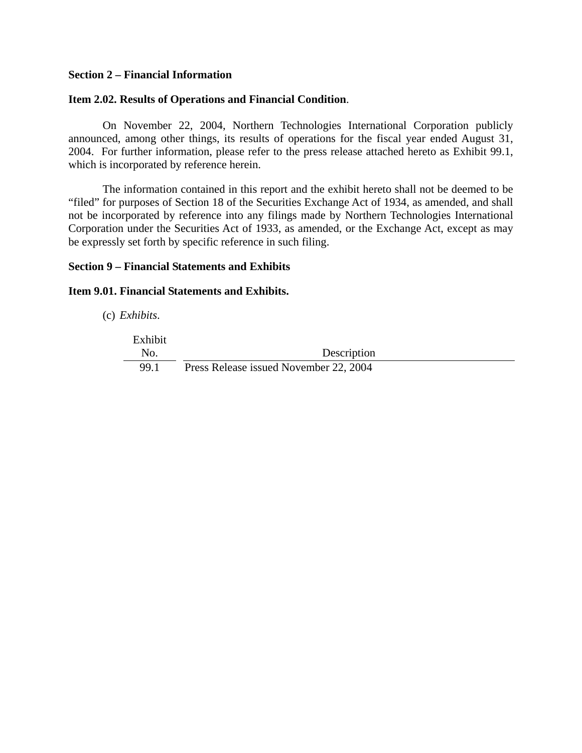### **Section 2 – Financial Information**

### **Item 2.02. Results of Operations and Financial Condition**.

 On November 22, 2004, Northern Technologies International Corporation publicly announced, among other things, its results of operations for the fiscal year ended August 31, 2004. For further information, please refer to the press release attached hereto as Exhibit 99.1, which is incorporated by reference herein.

The information contained in this report and the exhibit hereto shall not be deemed to be "filed" for purposes of Section 18 of the Securities Exchange Act of 1934, as amended, and shall not be incorporated by reference into any filings made by Northern Technologies International Corporation under the Securities Act of 1933, as amended, or the Exchange Act, except as may be expressly set forth by specific reference in such filing.

### **Section 9 – Financial Statements and Exhibits**

### **Item 9.01. Financial Statements and Exhibits.**

(c) *Exhibits*.

Exhibit No. Description 99.1 Press Release issued November 22, 2004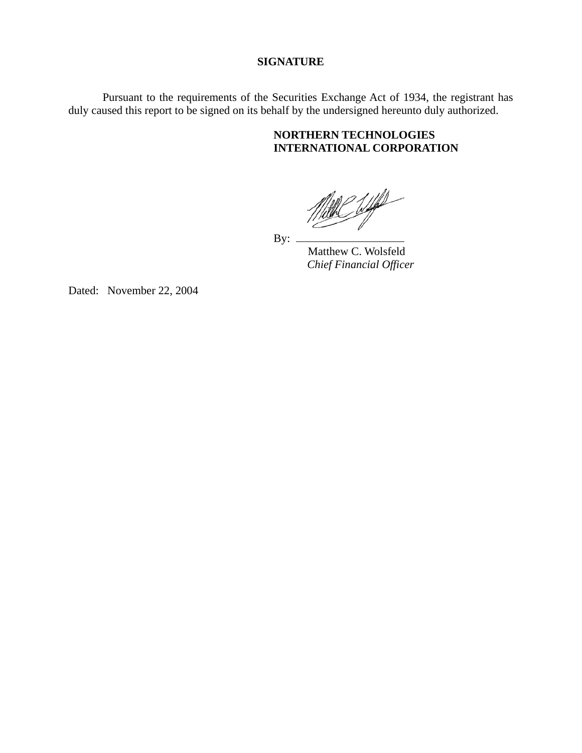### **SIGNATURE**

Pursuant to the requirements of the Securities Exchange Act of 1934, the registrant has duly caused this report to be signed on its behalf by the undersigned hereunto duly authorized.

### **NORTHERN TECHNOLOGIES INTERNATIONAL CORPORATION**

 $\frac{1}{2}$ 

By:

 Matthew C. Wolsfeld  *Chief Financial Officer* 

Dated: November 22, 2004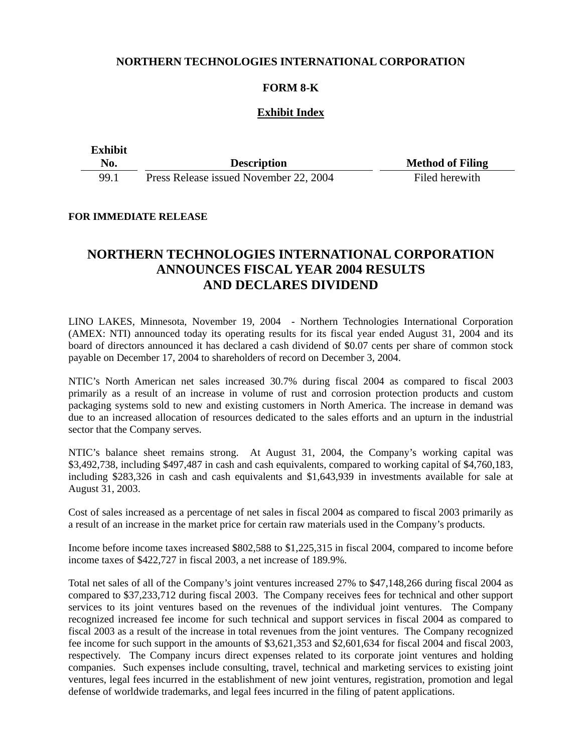### **NORTHERN TECHNOLOGIES INTERNATIONAL CORPORATION**

### **FORM 8-K**

### **Exhibit Index**

| <b>Exhibit</b> |                                        |                         |
|----------------|----------------------------------------|-------------------------|
| No.            | <b>Description</b>                     | <b>Method of Filing</b> |
| 99.1           | Press Release issued November 22, 2004 | Filed herewith          |

#### **FOR IMMEDIATE RELEASE**

### **NORTHERN TECHNOLOGIES INTERNATIONAL CORPORATION ANNOUNCES FISCAL YEAR 2004 RESULTS AND DECLARES DIVIDEND**

LINO LAKES, Minnesota, November 19, 2004 - Northern Technologies International Corporation (AMEX: NTI) announced today its operating results for its fiscal year ended August 31, 2004 and its board of directors announced it has declared a cash dividend of \$0.07 cents per share of common stock payable on December 17, 2004 to shareholders of record on December 3, 2004.

NTIC's North American net sales increased 30.7% during fiscal 2004 as compared to fiscal 2003 primarily as a result of an increase in volume of rust and corrosion protection products and custom packaging systems sold to new and existing customers in North America. The increase in demand was due to an increased allocation of resources dedicated to the sales efforts and an upturn in the industrial sector that the Company serves.

NTIC's balance sheet remains strong. At August 31, 2004, the Company's working capital was \$3,492,738, including \$497,487 in cash and cash equivalents, compared to working capital of \$4,760,183, including \$283,326 in cash and cash equivalents and \$1,643,939 in investments available for sale at August 31, 2003.

Cost of sales increased as a percentage of net sales in fiscal 2004 as compared to fiscal 2003 primarily as a result of an increase in the market price for certain raw materials used in the Company's products.

Income before income taxes increased \$802,588 to \$1,225,315 in fiscal 2004, compared to income before income taxes of \$422,727 in fiscal 2003, a net increase of 189.9%.

Total net sales of all of the Company's joint ventures increased 27% to \$47,148,266 during fiscal 2004 as compared to \$37,233,712 during fiscal 2003. The Company receives fees for technical and other support services to its joint ventures based on the revenues of the individual joint ventures. The Company recognized increased fee income for such technical and support services in fiscal 2004 as compared to fiscal 2003 as a result of the increase in total revenues from the joint ventures. The Company recognized fee income for such support in the amounts of \$3,621,353 and \$2,601,634 for fiscal 2004 and fiscal 2003, respectively. The Company incurs direct expenses related to its corporate joint ventures and holding companies. Such expenses include consulting, travel, technical and marketing services to existing joint ventures, legal fees incurred in the establishment of new joint ventures, registration, promotion and legal defense of worldwide trademarks, and legal fees incurred in the filing of patent applications.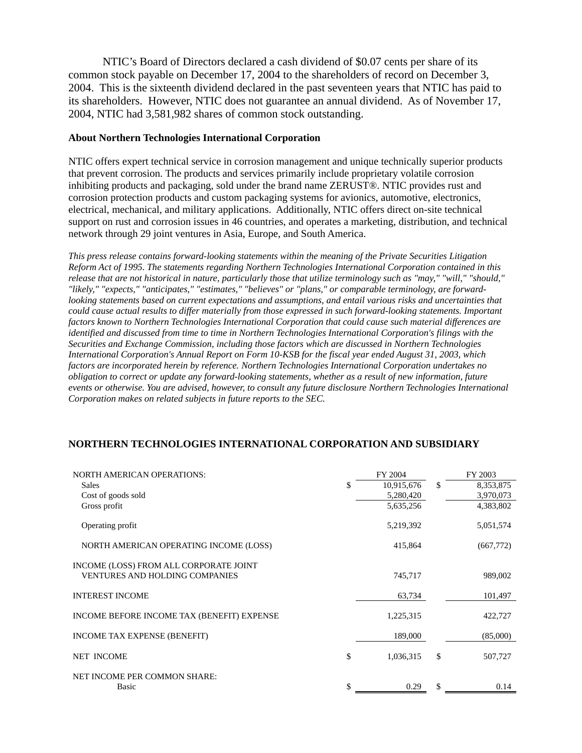NTIC's Board of Directors declared a cash dividend of \$0.07 cents per share of its common stock payable on December 17, 2004 to the shareholders of record on December 3, 2004. This is the sixteenth dividend declared in the past seventeen years that NTIC has paid to its shareholders. However, NTIC does not guarantee an annual dividend. As of November 17, 2004, NTIC had 3,581,982 shares of common stock outstanding.

#### **About Northern Technologies International Corporation**

NTIC offers expert technical service in corrosion management and unique technically superior products that prevent corrosion. The products and services primarily include proprietary volatile corrosion inhibiting products and packaging, sold under the brand name ZERUST®. NTIC provides rust and corrosion protection products and custom packaging systems for avionics, automotive, electronics, electrical, mechanical, and military applications. Additionally, NTIC offers direct on-site technical support on rust and corrosion issues in 46 countries, and operates a marketing, distribution, and technical network through 29 joint ventures in Asia, Europe, and South America.

*This press release contains forward-looking statements within the meaning of the Private Securities Litigation Reform Act of 1995. The statements regarding Northern Technologies International Corporation contained in this release that are not historical in nature, particularly those that utilize terminology such as "may," "will," "should," "likely," "expects," "anticipates," "estimates," "believes" or "plans," or comparable terminology, are forwardlooking statements based on current expectations and assumptions, and entail various risks and uncertainties that could cause actual results to differ materially from those expressed in such forward-looking statements. Important factors known to Northern Technologies International Corporation that could cause such material differences are identified and discussed from time to time in Northern Technologies International Corporation's filings with the Securities and Exchange Commission, including those factors which are discussed in Northern Technologies International Corporation's Annual Report on Form 10-KSB for the fiscal year ended August 31, 2003, which factors are incorporated herein by reference. Northern Technologies International Corporation undertakes no obligation to correct or update any forward-looking statements, whether as a result of new information, future events or otherwise. You are advised, however, to consult any future disclosure Northern Technologies International Corporation makes on related subjects in future reports to the SEC.* 

### **NORTHERN TECHNOLOGIES INTERNATIONAL CORPORATION AND SUBSIDIARY**

| <b>NORTH AMERICAN OPERATIONS:</b>                                               | FY 2004          |     | FY 2003   |
|---------------------------------------------------------------------------------|------------------|-----|-----------|
| Sales                                                                           | \$<br>10,915,676 | \$. | 8,353,875 |
| Cost of goods sold                                                              | 5,280,420        |     | 3,970,073 |
| Gross profit                                                                    | 5,635,256        |     | 4,383,802 |
| Operating profit                                                                | 5,219,392        |     | 5,051,574 |
| NORTH AMERICAN OPERATING INCOME (LOSS)                                          | 415,864          |     | (667,772) |
| INCOME (LOSS) FROM ALL CORPORATE JOINT<br><b>VENTURES AND HOLDING COMPANIES</b> | 745,717          |     | 989,002   |
| <b>INTEREST INCOME</b>                                                          | 63,734           |     | 101,497   |
| INCOME BEFORE INCOME TAX (BENEFIT) EXPENSE                                      | 1,225,315        |     | 422,727   |
| INCOME TAX EXPENSE (BENEFIT)                                                    | 189,000          |     | (85,000)  |
| <b>NET INCOME</b>                                                               | \$<br>1,036,315  | \$  | 507,727   |
| NET INCOME PER COMMON SHARE:<br>Basic                                           | \$<br>0.29       | \$  | 0.14      |